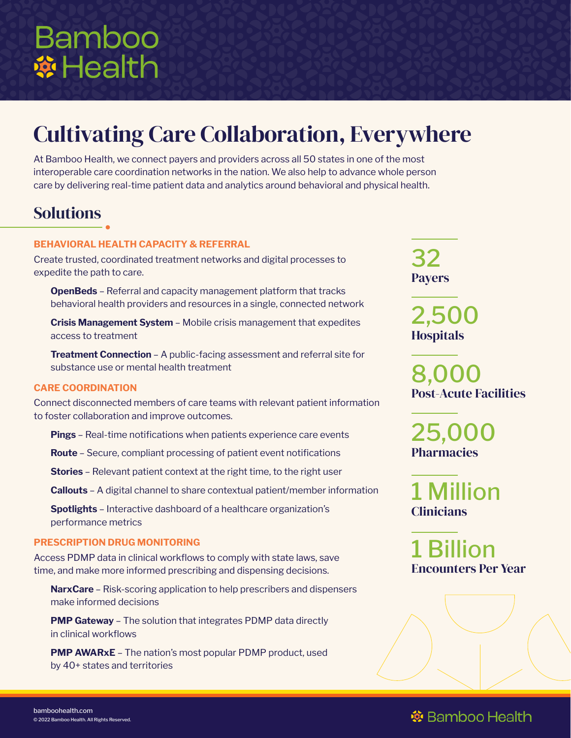# **Bamboo A** Health

## Cultivating Care Collaboration, Everywhere

At Bamboo Health, we connect payers and providers across all 50 states in one of the most interoperable care coordination networks in the nation. We also help to advance whole person care by delivering real-time patient data and analytics around behavioral and physical health.

## Solutions

#### **BEHAVIORAL HEALTH CAPACITY & REFERRAL**

Create trusted, coordinated treatment networks and digital processes to expedite the path to care.

**OpenBeds** – Referral and capacity management platform that tracks behavioral health providers and resources in a single, connected network

**Crisis Management System** – Mobile crisis management that expedites access to treatment

**Treatment Connection** – A public-facing assessment and referral site for substance use or mental health treatment

#### **CARE COORDINATION**

Connect disconnected members of care teams with relevant patient information to foster collaboration and improve outcomes.

**Pings** – Real-time notifications when patients experience care events

**Route** – Secure, compliant processing of patient event notifications

**Stories** – Relevant patient context at the right time, to the right user

**Callouts** – A digital channel to share contextual patient/member information

**Spotlights** – Interactive dashboard of a healthcare organization's performance metrics

#### **PRESCRIPTION DRUG MONITORING**

Access PDMP data in clinical workflows to comply with state laws, save time, and make more informed prescribing and dispensing decisions.

**NarxCare** – Risk-scoring application to help prescribers and dispensers make informed decisions

**PMP Gateway** – The solution that integrates PDMP data directly in clinical workflows

**PMP AWARXE** – The nation's most popular PDMP product, used by 40+ states and territories

32 Payers

2,500 **Hospitals** 

8,000 Post-Acute Facilities

25,000 **Pharmacies** 

1 Million **Clinicians** 

1 Billion Encounters Per Year

## **※** Bamboo Health